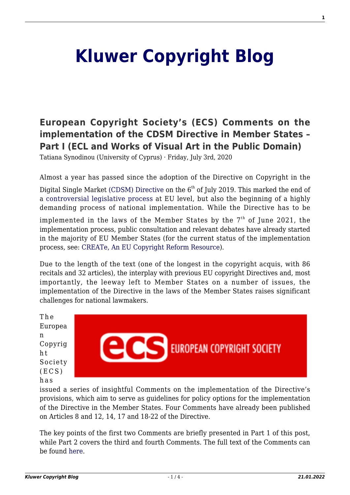# **[Kluwer Copyright Blog](http://copyrightblog.kluweriplaw.com/)**

## **[European Copyright Society's \(ECS\) Comments on the](http://copyrightblog.kluweriplaw.com/2020/07/03/european-copyright-societys-ecs-comments-on-the-implementation-of-the-cdsm-directive-in-member-states-part-i-ecl-and-works-of-visual-art-in-the-public-domain/) [implementation of the CDSM Directive in Member States –](http://copyrightblog.kluweriplaw.com/2020/07/03/european-copyright-societys-ecs-comments-on-the-implementation-of-the-cdsm-directive-in-member-states-part-i-ecl-and-works-of-visual-art-in-the-public-domain/) [Part I \(ECL and Works of Visual Art in the Public Domain\)](http://copyrightblog.kluweriplaw.com/2020/07/03/european-copyright-societys-ecs-comments-on-the-implementation-of-the-cdsm-directive-in-member-states-part-i-ecl-and-works-of-visual-art-in-the-public-domain/)**

Tatiana Synodinou (University of Cyprus) · Friday, July 3rd, 2020

Almost a year has passed since the adoption of the Directive on Copyright in the

Digital Single Market [\(CDSM\) Directive](https://eur-lex.europa.eu/eli/dir/2019/790/oj) on the  $6<sup>th</sup>$  of July 2019. This marked the end of a [controversial legislative process](http://copyrightblog.kluweriplaw.com/2019/06/07/the-new-copyright-directive-a-tour-dhorizon-part-i/?doing_wp_cron=1593272805.3855390548706054687500) at EU level, but also the beginning of a highly demanding process of national implementation. While the Directive has to be

implemented in the laws of the Member States by the  $7<sup>th</sup>$  of June 2021, the implementation process, public consultation and relevant debates have already started in the majority of EU Member States (for the current status of the implementation process, see: [CREATe, An EU Copyright Reform Resource\)](https://www.create.ac.uk/cdsm-implementation-resource-page/).

Due to the length of the text (one of the longest in the copyright acquis, with 86 recitals and 32 articles), the interplay with previous EU copyright Directives and, most importantly, the leeway left to Member States on a number of issues, the implementation of the Directive in the laws of the Member States raises significant challenges for national lawmakers.

The Europea n Copyrig h t Society  $(ECS)$ has



issued a series of insightful Comments on the implementation of the Directive's provisions, which aim to serve as guidelines for policy options for the implementation of the Directive in the Member States. Four Comments have already been published on Articles 8 and 12, 14, 17 and 18-22 of the Directive.

The key points of the first two Comments are briefly presented in Part 1 of this post, while Part 2 covers the third and fourth Comments. The full text of the Comments can be found [here](https://europeancopyrightsociety.org/opinions/).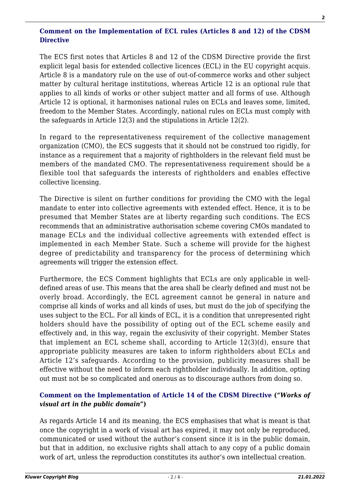#### **[Comment on the Implementation of ECL rules \(Articles 8 and 12\) of the CDSM](https://europeancopyrightsocietydotorg.files.wordpress.com/2020/06/ecs-comment-ecl_art_8-12_20200613.pdf) [Directive](https://europeancopyrightsocietydotorg.files.wordpress.com/2020/06/ecs-comment-ecl_art_8-12_20200613.pdf)**

The ECS first notes that Articles 8 and 12 of the CDSM Directive provide the first explicit legal basis for extended collective licences (ECL) in the EU copyright acquis. Article 8 is a mandatory rule on the use of out-of-commerce works and other subject matter by cultural heritage institutions, whereas Article 12 is an optional rule that applies to all kinds of works or other subject matter and all forms of use. Although Article 12 is optional, it harmonises national rules on ECLs and leaves some, limited, freedom to the Member States. Accordingly, national rules on ECLs must comply with the safeguards in Article 12(3) and the stipulations in Article 12(2).

In regard to the representativeness requirement of the collective management organization (CMO), the ECS suggests that it should not be construed too rigidly, for instance as a requirement that a majority of rightholders in the relevant field must be members of the mandated CMO. The representativeness requirement should be a flexible tool that safeguards the interests of rightholders and enables effective collective licensing.

The Directive is silent on further conditions for providing the CMO with the legal mandate to enter into collective agreements with extended effect. Hence, it is to be presumed that Member States are at liberty regarding such conditions. The ECS recommends that an administrative authorisation scheme covering CMOs mandated to manage ECLs and the individual collective agreements with extended effect is implemented in each Member State. Such a scheme will provide for the highest degree of predictability and transparency for the process of determining which agreements will trigger the extension effect.

Furthermore, the ECS Comment highlights that ECLs are only applicable in welldefined areas of use. This means that the area shall be clearly defined and must not be overly broad. Accordingly, the ECL agreement cannot be general in nature and comprise all kinds of works and all kinds of uses, but must do the job of specifying the uses subject to the ECL. For all kinds of ECL, it is a condition that unrepresented right holders should have the possibility of opting out of the ECL scheme easily and effectively and, in this way, regain the exclusivity of their copyright. Member States that implement an ECL scheme shall, according to Article 12(3)(d), ensure that appropriate publicity measures are taken to inform rightholders about ECLs and Article 12's safeguards. According to the provision, publicity measures shall be effective without the need to inform each rightholder individually. In addition, opting out must not be so complicated and onerous as to discourage authors from doing so.

#### **[Comment on the Implementation of Article 14 of the CDSM Directive](https://europeancopyrightsocietydotorg.files.wordpress.com/2020/04/ecs_cdsm_implementation_article_14_final.pdf) ("***Works of visual art in the public domain***")**

As regards Article 14 and its meaning, the ECS emphasises that what is meant is that once the copyright in a work of visual art has expired, it may not only be reproduced, communicated or used without the author's consent since it is in the public domain, but that in addition, no exclusive rights shall attach to any copy of a public domain work of art, unless the reproduction constitutes its author's own intellectual creation.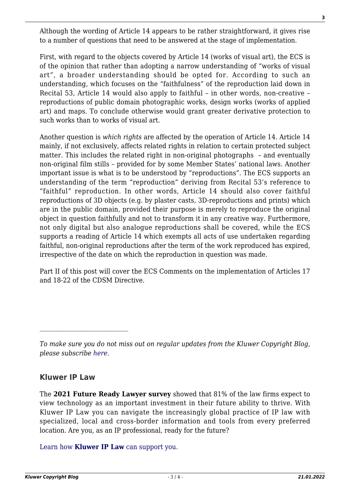Although the wording of Article 14 appears to be rather straightforward, it gives rise to a number of questions that need to be answered at the stage of implementation.

First, with regard to the objects covered by Article 14 (works of visual art), the ECS is of the opinion that rather than adopting a narrow understanding of "works of visual art", a broader understanding should be opted for. According to such an understanding, which focuses on the "faithfulness" of the reproduction laid down in Recital 53, Article 14 would also apply to faithful – in other words, non-creative – reproductions of public domain photographic works, design works (works of applied art) and maps. To conclude otherwise would grant greater derivative protection to such works than to works of visual art.

Another question is *which rights* are affected by the operation of Article 14. Article 14 mainly, if not exclusively, affects related rights in relation to certain protected subject matter. This includes the related right in non-original photographs – and eventually non-original film stills – provided for by some Member States' national laws. Another important issue is what is to be understood by "reproductions". The ECS supports an understanding of the term "reproduction" deriving from Recital 53's reference to "faithful" reproduction. In other words, Article 14 should also cover faithful reproductions of 3D objects (e.g. by plaster casts, 3D-reproductions and prints) which are in the public domain, provided their purpose is merely to reproduce the original object in question faithfully and not to transform it in any creative way. Furthermore, not only digital but also analogue reproductions shall be covered, while the ECS supports a reading of Article 14 which exempts all acts of use undertaken regarding faithful, non-original reproductions after the term of the work reproduced has expired, irrespective of the date on which the reproduction in question was made.

Part II of this post will cover the ECS Comments on the implementation of Articles 17 and 18-22 of the CDSM Directive.

### **Kluwer IP Law**

The **2021 Future Ready Lawyer survey** showed that 81% of the law firms expect to view technology as an important investment in their future ability to thrive. With Kluwer IP Law you can navigate the increasingly global practice of IP law with specialized, local and cross-border information and tools from every preferred location. Are you, as an IP professional, ready for the future?

[Learn how](https://www.wolterskluwer.com/en/solutions/kluweriplaw?utm_source=copyrightnblog&utm_medium=articleCTA&utm_campaign=article-banner) **[Kluwer IP Law](https://www.wolterskluwer.com/en/solutions/kluweriplaw?utm_source=copyrightnblog&utm_medium=articleCTA&utm_campaign=article-banner)** [can support you.](https://www.wolterskluwer.com/en/solutions/kluweriplaw?utm_source=copyrightnblog&utm_medium=articleCTA&utm_campaign=article-banner)

*To make sure you do not miss out on regular updates from the Kluwer Copyright Blog, please subscribe [here.](http://copyrightblog.kluweriplaw.com/newsletter)*